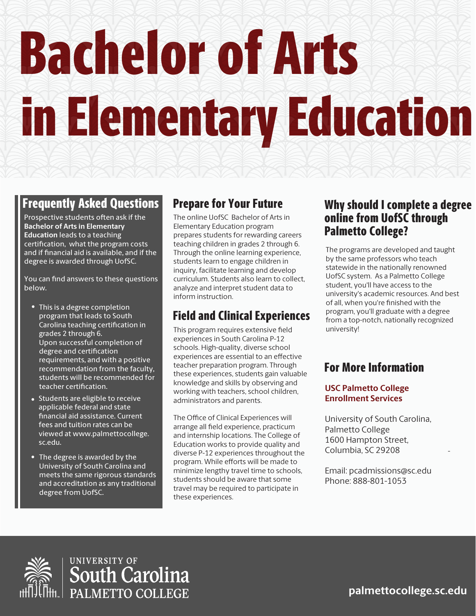# Bachelor of Arts in Elementary Education

### Prepare for Your Future

# Field and Clinical Experiences

This program requires extensive field

• This is a degree completion program that leads to South Carolina teaching certification in grades 2 through 6. Upon successful completion of degree and certification requirements, and with a positive recommendation from the faculty, students will be recommended for teacher certification.

### Why should I complete a degree online from UofSC through Palmetto College?

-

## Frequently Asked Questions

**palmettocollege.sc.edu**

The online UofSC Bachelor of Arts in Elementary Education program prepares students for rewarding careers teaching children in grades 2 through 6. Through the online learning experience, students learn to engage children in inquiry, facilitate learning and develop curriculum. Students also learn to collect, analyze and interpret student data to inform instruction.

The Office of Clinical Experiences will arrange all field experience, practicum and internship locations. The College of Education works to provide quality and diverse P-12 experiences throughout the program. While efforts will be made to minimize lengthy travel time to schools, students should be aware that some travel may be required to participate in these experiences.

Prospective students often ask if the **Bachelor of Arts in Elementary Education** leads to a teaching certification, what the program costs and if financial aid is available, and if the degree is awarded through UofSC.

You can find answers to these questions below.

> experiences in South Carolina P-12 schools. High-quality, diverse school experiences are essential to an effective teacher preparation program. Through these experiences, students gain valuable knowledge and skills by observing and working with teachers, school children, administrators and parents.

- Students are eligible to receive applicable federal and state nancial aid assistance. Current fees and tuition rates can be viewed at www.palmettocollege. sc.edu.
- The degree is awarded by the University of South Carolina and meets the same rigorous standards and accreditation as any traditional degree from UofSC.

## For More Information

The programs are developed and taught by the same professors who teach statewide in the nationally renowned UofSC system. As a Palmetto College student, you'll have access to the university's academic resources. And best of all, when you're finished with the program, you'll graduate with a degree from a top-notch, nationally recognized university!

### **USC Palmetto College Enrollment Services**

University of South Carolina, Palmetto College 1600 Hampton Street, Columbia, SC 29208

Email: pcadmissions@sc.edu Phone: 888-801-1053